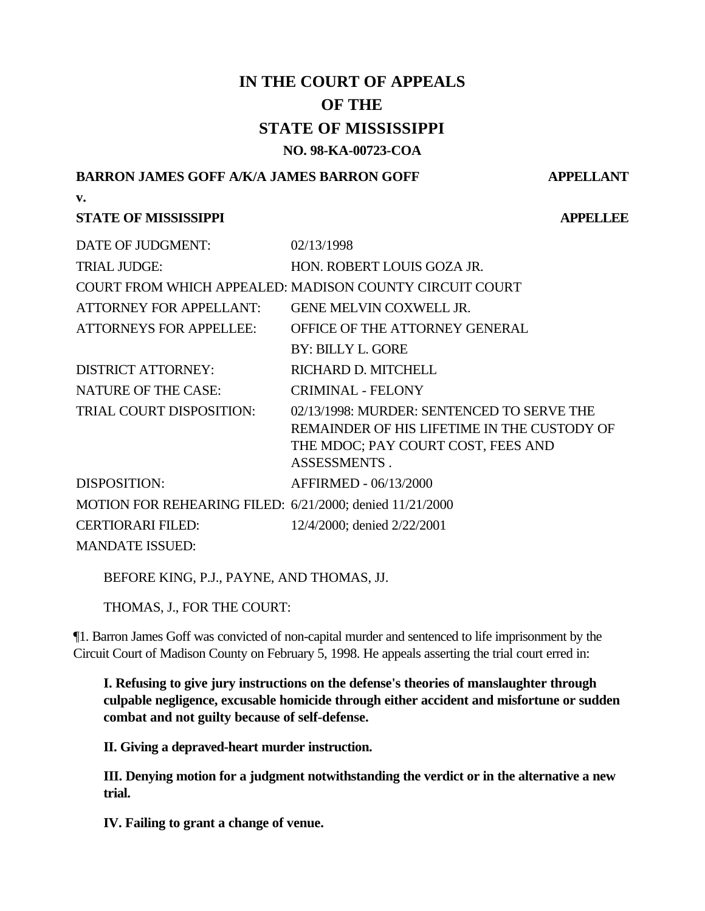# **IN THE COURT OF APPEALS OF THE STATE OF MISSISSIPPI NO. 98-KA-00723-COA**

## **BARRON JAMES GOFF A/K/A JAMES BARRON GOFF APPELLANT**

**v.**

## **STATE OF MISSISSIPPI APPELLEE**

| DATE OF JUDGMENT:                                        | 02/13/1998                                                                                                                                             |
|----------------------------------------------------------|--------------------------------------------------------------------------------------------------------------------------------------------------------|
| <b>TRIAL JUDGE:</b>                                      | HON. ROBERT LOUIS GOZA JR.                                                                                                                             |
|                                                          | COURT FROM WHICH APPEALED: MADISON COUNTY CIRCUIT COURT                                                                                                |
| <b>ATTORNEY FOR APPELLANT:</b>                           | GENE MELVIN COXWELL JR.                                                                                                                                |
| <b>ATTORNEYS FOR APPELLEE:</b>                           | OFFICE OF THE ATTORNEY GENERAL                                                                                                                         |
|                                                          | <b>BY: BILLY L. GORE</b>                                                                                                                               |
| <b>DISTRICT ATTORNEY:</b>                                | RICHARD D. MITCHELL                                                                                                                                    |
| <b>NATURE OF THE CASE:</b>                               | <b>CRIMINAL - FELONY</b>                                                                                                                               |
| <b>TRIAL COURT DISPOSITION:</b>                          | 02/13/1998: MURDER: SENTENCED TO SERVE THE<br>REMAINDER OF HIS LIFETIME IN THE CUSTODY OF<br>THE MDOC; PAY COURT COST, FEES AND<br><b>ASSESSMENTS.</b> |
| <b>DISPOSITION:</b>                                      | AFFIRMED - 06/13/2000                                                                                                                                  |
| MOTION FOR REHEARING FILED: 6/21/2000; denied 11/21/2000 |                                                                                                                                                        |
| <b>CERTIORARI FILED:</b>                                 | 12/4/2000; denied 2/22/2001                                                                                                                            |
| <b>MANDATE ISSUED:</b>                                   |                                                                                                                                                        |

BEFORE KING, P.J., PAYNE, AND THOMAS, JJ.

THOMAS, J., FOR THE COURT:

¶1. Barron James Goff was convicted of non-capital murder and sentenced to life imprisonment by the Circuit Court of Madison County on February 5, 1998. He appeals asserting the trial court erred in:

**I. Refusing to give jury instructions on the defense's theories of manslaughter through culpable negligence, excusable homicide through either accident and misfortune or sudden combat and not guilty because of self-defense.**

**II. Giving a depraved-heart murder instruction.**

**III. Denying motion for a judgment notwithstanding the verdict or in the alternative a new trial.**

**IV. Failing to grant a change of venue.**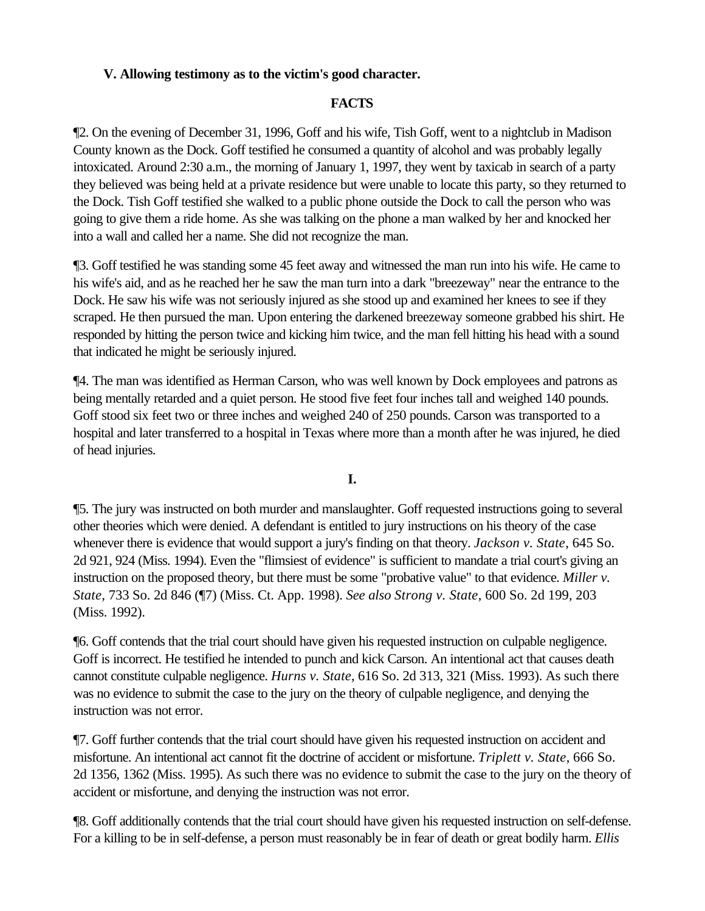## **V. Allowing testimony as to the victim's good character.**

## **FACTS**

¶2. On the evening of December 31, 1996, Goff and his wife, Tish Goff, went to a nightclub in Madison County known as the Dock. Goff testified he consumed a quantity of alcohol and was probably legally intoxicated. Around 2:30 a.m., the morning of January 1, 1997, they went by taxicab in search of a party they believed was being held at a private residence but were unable to locate this party, so they returned to the Dock. Tish Goff testified she walked to a public phone outside the Dock to call the person who was going to give them a ride home. As she was talking on the phone a man walked by her and knocked her into a wall and called her a name. She did not recognize the man.

¶3. Goff testified he was standing some 45 feet away and witnessed the man run into his wife. He came to his wife's aid, and as he reached her he saw the man turn into a dark "breezeway" near the entrance to the Dock. He saw his wife was not seriously injured as she stood up and examined her knees to see if they scraped. He then pursued the man. Upon entering the darkened breezeway someone grabbed his shirt. He responded by hitting the person twice and kicking him twice, and the man fell hitting his head with a sound that indicated he might be seriously injured.

¶4. The man was identified as Herman Carson, who was well known by Dock employees and patrons as being mentally retarded and a quiet person. He stood five feet four inches tall and weighed 140 pounds. Goff stood six feet two or three inches and weighed 240 of 250 pounds. Carson was transported to a hospital and later transferred to a hospital in Texas where more than a month after he was injured, he died of head injuries.

#### **I.**

¶5. The jury was instructed on both murder and manslaughter. Goff requested instructions going to several other theories which were denied. A defendant is entitled to jury instructions on his theory of the case whenever there is evidence that would support a jury's finding on that theory. *Jackson v. State*, 645 So. 2d 921, 924 (Miss. 1994). Even the "flimsiest of evidence" is sufficient to mandate a trial court's giving an instruction on the proposed theory, but there must be some "probative value" to that evidence. *Miller v. State,* 733 So. 2d 846 (¶7) (Miss. Ct. App. 1998). *See also Strong v. State*, 600 So. 2d 199, 203 (Miss. 1992).

¶6. Goff contends that the trial court should have given his requested instruction on culpable negligence. Goff is incorrect. He testified he intended to punch and kick Carson. An intentional act that causes death cannot constitute culpable negligence. *Hurns v. State*, 616 So. 2d 313, 321 (Miss. 1993). As such there was no evidence to submit the case to the jury on the theory of culpable negligence, and denying the instruction was not error.

¶7. Goff further contends that the trial court should have given his requested instruction on accident and misfortune. An intentional act cannot fit the doctrine of accident or misfortune. *Triplett v. State*, 666 So. 2d 1356, 1362 (Miss. 1995). As such there was no evidence to submit the case to the jury on the theory of accident or misfortune, and denying the instruction was not error.

¶8. Goff additionally contends that the trial court should have given his requested instruction on self-defense. For a killing to be in self-defense, a person must reasonably be in fear of death or great bodily harm. *Ellis*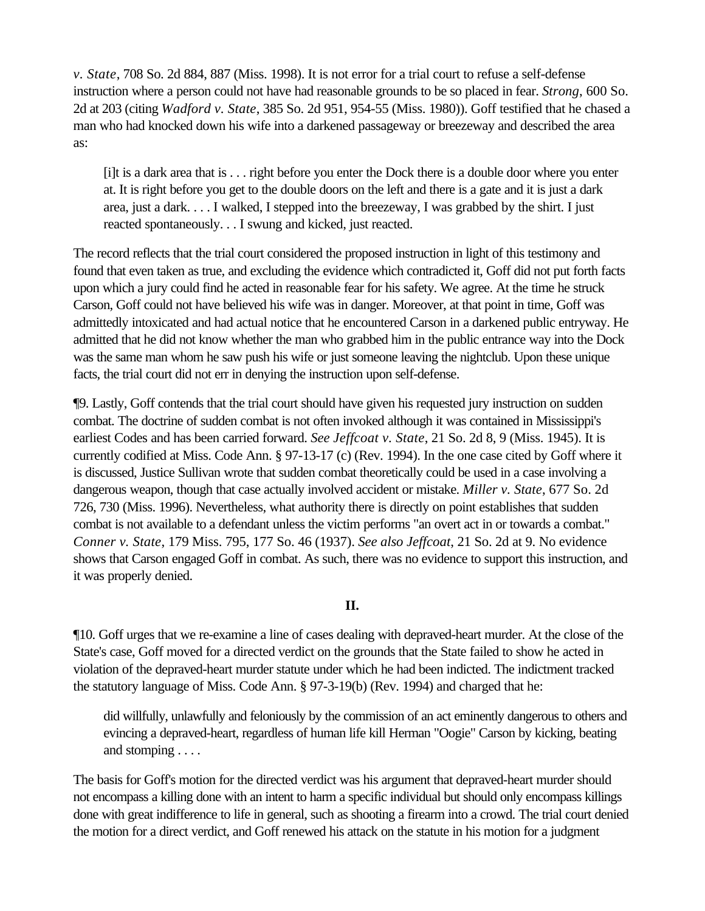*v. State*, 708 So. 2d 884, 887 (Miss. 1998). It is not error for a trial court to refuse a self-defense instruction where a person could not have had reasonable grounds to be so placed in fear. *Strong*, 600 So. 2d at 203 (citing *Wadford v. State*, 385 So. 2d 951, 954-55 (Miss. 1980)). Goff testified that he chased a man who had knocked down his wife into a darkened passageway or breezeway and described the area as:

[i]t is a dark area that is . . . right before you enter the Dock there is a double door where you enter at. It is right before you get to the double doors on the left and there is a gate and it is just a dark area, just a dark. . . . I walked, I stepped into the breezeway, I was grabbed by the shirt. I just reacted spontaneously. . . I swung and kicked, just reacted.

The record reflects that the trial court considered the proposed instruction in light of this testimony and found that even taken as true, and excluding the evidence which contradicted it, Goff did not put forth facts upon which a jury could find he acted in reasonable fear for his safety. We agree. At the time he struck Carson, Goff could not have believed his wife was in danger. Moreover, at that point in time, Goff was admittedly intoxicated and had actual notice that he encountered Carson in a darkened public entryway. He admitted that he did not know whether the man who grabbed him in the public entrance way into the Dock was the same man whom he saw push his wife or just someone leaving the nightclub. Upon these unique facts, the trial court did not err in denying the instruction upon self-defense.

¶9. Lastly, Goff contends that the trial court should have given his requested jury instruction on sudden combat. The doctrine of sudden combat is not often invoked although it was contained in Mississippi's earliest Codes and has been carried forward. *See Jeffcoat v. State*, 21 So. 2d 8, 9 (Miss. 1945). It is currently codified at Miss. Code Ann. § 97-13-17 (c) (Rev. 1994). In the one case cited by Goff where it is discussed, Justice Sullivan wrote that sudden combat theoretically could be used in a case involving a dangerous weapon, though that case actually involved accident or mistake. *Miller v. State*, 677 So. 2d 726, 730 (Miss. 1996). Nevertheless, what authority there is directly on point establishes that sudden combat is not available to a defendant unless the victim performs "an overt act in or towards a combat." *Conner v. State*, 179 Miss. 795, 177 So. 46 (1937). *See also Jeffcoat*, 21 So. 2d at 9. No evidence shows that Carson engaged Goff in combat. As such, there was no evidence to support this instruction, and it was properly denied.

#### **II.**

¶10. Goff urges that we re-examine a line of cases dealing with depraved-heart murder. At the close of the State's case, Goff moved for a directed verdict on the grounds that the State failed to show he acted in violation of the depraved-heart murder statute under which he had been indicted. The indictment tracked the statutory language of Miss. Code Ann. § 97-3-19(b) (Rev. 1994) and charged that he:

did willfully, unlawfully and feloniously by the commission of an act eminently dangerous to others and evincing a depraved-heart, regardless of human life kill Herman "Oogie" Carson by kicking, beating and stomping . . . .

The basis for Goff's motion for the directed verdict was his argument that depraved-heart murder should not encompass a killing done with an intent to harm a specific individual but should only encompass killings done with great indifference to life in general, such as shooting a firearm into a crowd. The trial court denied the motion for a direct verdict, and Goff renewed his attack on the statute in his motion for a judgment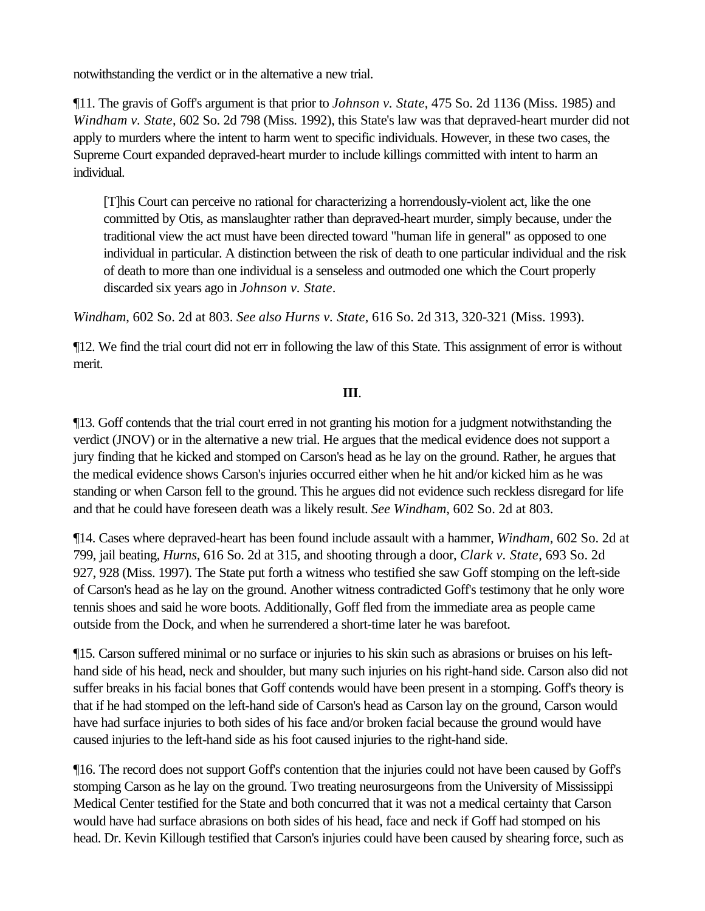notwithstanding the verdict or in the alternative a new trial.

¶11. The gravis of Goff's argument is that prior to *Johnson v. State*, 475 So. 2d 1136 (Miss. 1985) and *Windham v. State*, 602 So. 2d 798 (Miss. 1992), this State's law was that depraved-heart murder did not apply to murders where the intent to harm went to specific individuals. However, in these two cases, the Supreme Court expanded depraved-heart murder to include killings committed with intent to harm an individual.

[T]his Court can perceive no rational for characterizing a horrendously-violent act, like the one committed by Otis, as manslaughter rather than depraved-heart murder, simply because, under the traditional view the act must have been directed toward "human life in general" as opposed to one individual in particular. A distinction between the risk of death to one particular individual and the risk of death to more than one individual is a senseless and outmoded one which the Court properly discarded six years ago in *Johnson v. State*.

*Windham*, 602 So. 2d at 803. *See also Hurns v. State*, 616 So. 2d 313, 320-321 (Miss. 1993).

¶12. We find the trial court did not err in following the law of this State. This assignment of error is without merit.

## **III**.

¶13. Goff contends that the trial court erred in not granting his motion for a judgment notwithstanding the verdict (JNOV) or in the alternative a new trial. He argues that the medical evidence does not support a jury finding that he kicked and stomped on Carson's head as he lay on the ground. Rather, he argues that the medical evidence shows Carson's injuries occurred either when he hit and/or kicked him as he was standing or when Carson fell to the ground. This he argues did not evidence such reckless disregard for life and that he could have foreseen death was a likely result. *See Windham*, 602 So. 2d at 803.

¶14. Cases where depraved-heart has been found include assault with a hammer, *Windham*, 602 So. 2d at 799, jail beating, *Hurns*, 616 So. 2d at 315, and shooting through a door, *Clark v. State*, 693 So. 2d 927, 928 (Miss. 1997). The State put forth a witness who testified she saw Goff stomping on the left-side of Carson's head as he lay on the ground. Another witness contradicted Goff's testimony that he only wore tennis shoes and said he wore boots. Additionally, Goff fled from the immediate area as people came outside from the Dock, and when he surrendered a short-time later he was barefoot.

¶15. Carson suffered minimal or no surface or injuries to his skin such as abrasions or bruises on his lefthand side of his head, neck and shoulder, but many such injuries on his right-hand side. Carson also did not suffer breaks in his facial bones that Goff contends would have been present in a stomping. Goff's theory is that if he had stomped on the left-hand side of Carson's head as Carson lay on the ground, Carson would have had surface injuries to both sides of his face and/or broken facial because the ground would have caused injuries to the left-hand side as his foot caused injuries to the right-hand side.

¶16. The record does not support Goff's contention that the injuries could not have been caused by Goff's stomping Carson as he lay on the ground. Two treating neurosurgeons from the University of Mississippi Medical Center testified for the State and both concurred that it was not a medical certainty that Carson would have had surface abrasions on both sides of his head, face and neck if Goff had stomped on his head. Dr. Kevin Killough testified that Carson's injuries could have been caused by shearing force, such as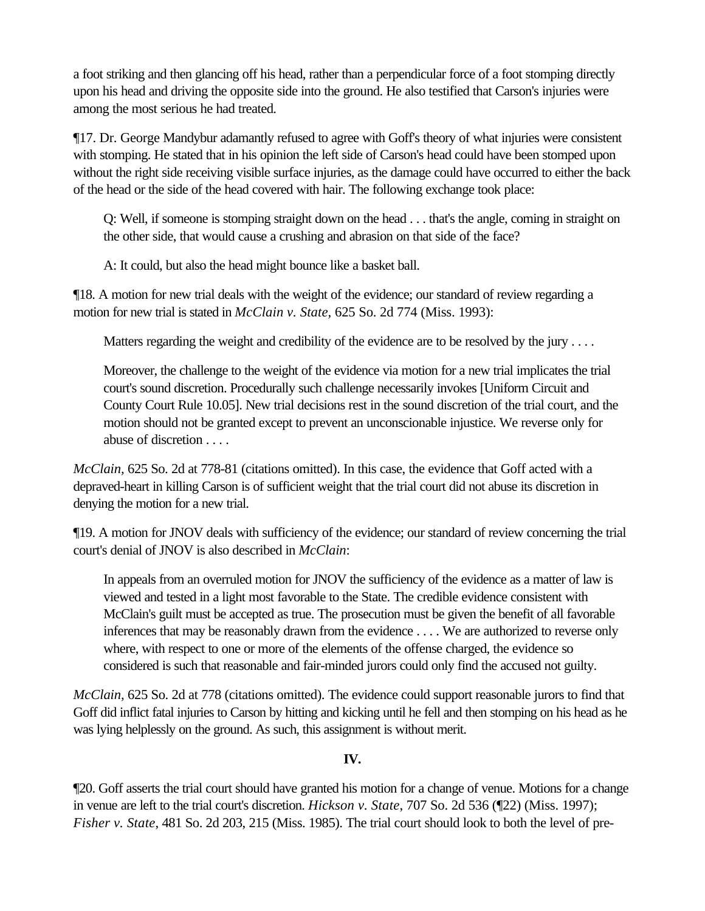a foot striking and then glancing off his head, rather than a perpendicular force of a foot stomping directly upon his head and driving the opposite side into the ground. He also testified that Carson's injuries were among the most serious he had treated.

¶17. Dr. George Mandybur adamantly refused to agree with Goff's theory of what injuries were consistent with stomping. He stated that in his opinion the left side of Carson's head could have been stomped upon without the right side receiving visible surface injuries, as the damage could have occurred to either the back of the head or the side of the head covered with hair. The following exchange took place:

Q: Well, if someone is stomping straight down on the head . . . that's the angle, coming in straight on the other side, that would cause a crushing and abrasion on that side of the face?

A: It could, but also the head might bounce like a basket ball.

¶18. A motion for new trial deals with the weight of the evidence; our standard of review regarding a motion for new trial is stated in *McClain v. State,* 625 So. 2d 774 (Miss. 1993):

Matters regarding the weight and credibility of the evidence are to be resolved by the jury ....

Moreover, the challenge to the weight of the evidence via motion for a new trial implicates the trial court's sound discretion. Procedurally such challenge necessarily invokes [Uniform Circuit and County Court Rule 10.05]. New trial decisions rest in the sound discretion of the trial court, and the motion should not be granted except to prevent an unconscionable injustice. We reverse only for abuse of discretion . . . .

*McClain,* 625 So. 2d at 778-81 (citations omitted). In this case, the evidence that Goff acted with a depraved-heart in killing Carson is of sufficient weight that the trial court did not abuse its discretion in denying the motion for a new trial.

¶19. A motion for JNOV deals with sufficiency of the evidence; our standard of review concerning the trial court's denial of JNOV is also described in *McClain*:

In appeals from an overruled motion for JNOV the sufficiency of the evidence as a matter of law is viewed and tested in a light most favorable to the State. The credible evidence consistent with McClain's guilt must be accepted as true. The prosecution must be given the benefit of all favorable inferences that may be reasonably drawn from the evidence . . . . We are authorized to reverse only where, with respect to one or more of the elements of the offense charged, the evidence so considered is such that reasonable and fair-minded jurors could only find the accused not guilty.

*McClain,* 625 So. 2d at 778 (citations omitted). The evidence could support reasonable jurors to find that Goff did inflict fatal injuries to Carson by hitting and kicking until he fell and then stomping on his head as he was lying helplessly on the ground. As such, this assignment is without merit.

## **IV.**

¶20. Goff asserts the trial court should have granted his motion for a change of venue. Motions for a change in venue are left to the trial court's discretion. *Hickson v. State*, 707 So. 2d 536 (¶22) (Miss. 1997); *Fisher v. State*, 481 So. 2d 203, 215 (Miss. 1985). The trial court should look to both the level of pre